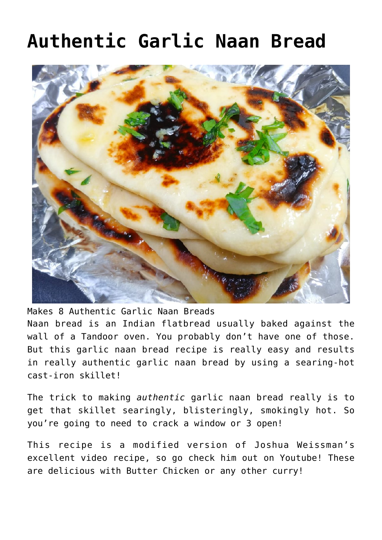# **[Authentic Garlic Naan Bread](https://effortless-kitchen.com/2020/07/25/authentic-garlic-naan-breads/)**



Makes 8 Authentic Garlic Naan Breads Naan bread is an Indian flatbread usually baked against the wall of a Tandoor oven. You probably don't have one of those. But this garlic naan bread recipe is really easy and results in really authentic garlic naan bread by using a searing-hot cast-iron skillet!

The trick to making *authentic* garlic naan bread really is to get that skillet searingly, blisteringly, smokingly hot. So you're going to need to crack a window or 3 open!

This recipe is a modified version of [Joshua Weissman's](https://www.youtube.com/channel/UChBEbMKI1eCcejTtmI32UEw) [excellent video recipe, so go check him out on Youtube](https://www.youtube.com/channel/UChBEbMKI1eCcejTtmI32UEw)! These are delicious with [Butter Chicken](https://effortless-kitchen.com/2020/07/09/butter-chicken/) or any other [curry](https://effortless-kitchen.com/?s=curry)!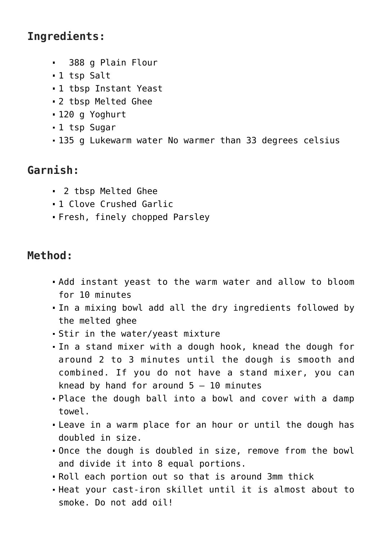## **Ingredients:**

- 388 g Plain Flour
- 1 tsp Salt
- 1 tbsp Instant Yeast
- 2 tbsp Melted Ghee
- 120 g Yoghurt
- 1 tsp Sugar
- 135 g Lukewarm water No warmer than 33 degrees celsius

## **Garnish:**

- 2 tbsp Melted Ghee
- 1 Clove Crushed Garlic
- Fresh, finely chopped Parsley

## **Method:**

- Add instant yeast to the warm water and allow to bloom for 10 minutes
- In a mixing bowl add all the dry ingredients followed by the melted ghee
- Stir in the water/yeast mixture
- In a stand mixer with a dough hook, knead the dough for around 2 to 3 minutes until the dough is smooth and combined. If you do not have a stand mixer, you can knead by hand for around  $5 - 10$  minutes
- Place the dough ball into a bowl and cover with a damp towel.
- Leave in a warm place for an hour or until the dough has doubled in size.
- Once the dough is doubled in size, remove from the bowl and divide it into 8 equal portions.
- Roll each portion out so that is around 3mm thick
- Heat your cast-iron skillet until it is almost about to smoke. Do not add oil!